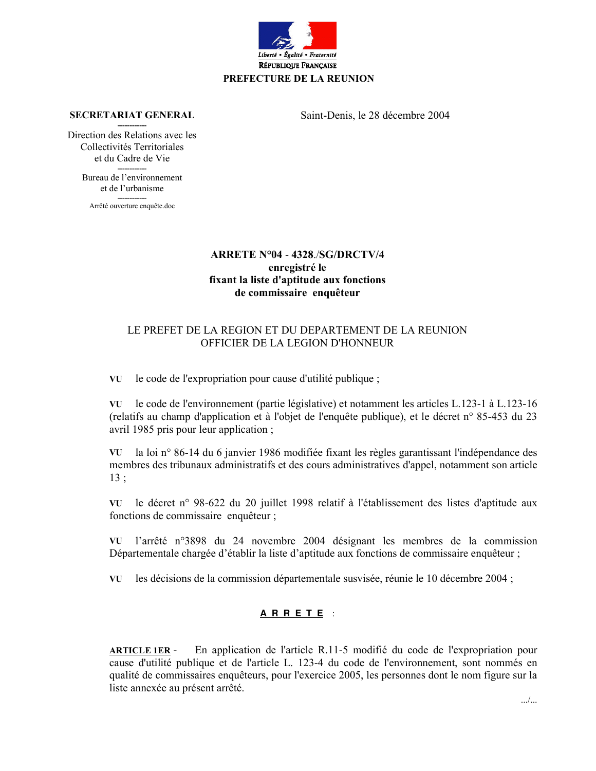

**SECRETARIAT GENERAL** 

Saint-Denis, le 28 décembre 2004

Direction des Relations avec les Collectivités Territoriales et du Cadre de Vie

> Bureau de l'environnement et de l'urbanisme

Arrêté ouverture enquête.doc

## ARRETE Nº04 - 4328/SG/DRCTV/4 enregistré le fixant la liste d'aptitude aux fonctions de commissaire enquêteur

## LE PREFET DE LA REGION ET DU DEPARTEMENT DE LA REUNION OFFICIER DE LA LEGION D'HONNEUR

VU le code de l'expropriation pour cause d'utilité publique ;

le code de l'environnement (partie législative) et notamment les articles L.123-1 à L.123-16 VU (relatifs au champ d'application et à l'objet de l'enquête publique), et le décret n° 85-453 du 23 avril 1985 pris pour leur application;

VU la loi n° 86-14 du 6 janvier 1986 modifiée fixant les règles garantissant l'indépendance des membres des tribunaux administratifs et des cours administratives d'appel, notamment son article  $13:$ 

VU le décret n° 98-622 du 20 juillet 1998 relatif à l'établissement des listes d'aptitude aux fonctions de commissaire enquêteur ;

l'arrêté n°3898 du 24 novembre 2004 désignant les membres de la commission VU Départementale chargée d'établir la liste d'aptitude aux fonctions de commissaire enquêteur;

VU les décisions de la commission départementale susvisée, réunie le 10 décembre 2004 ;

## ARRETE :

**ARTICLE 1ER -**En application de l'article R.11-5 modifié du code de l'expropriation pour cause d'utilité publique et de l'article L. 123-4 du code de l'environnement, sont nommés en qualité de commissaires enquêteurs, pour l'exercice 2005, les personnes dont le nom figure sur la liste annexée au présent arrêté.